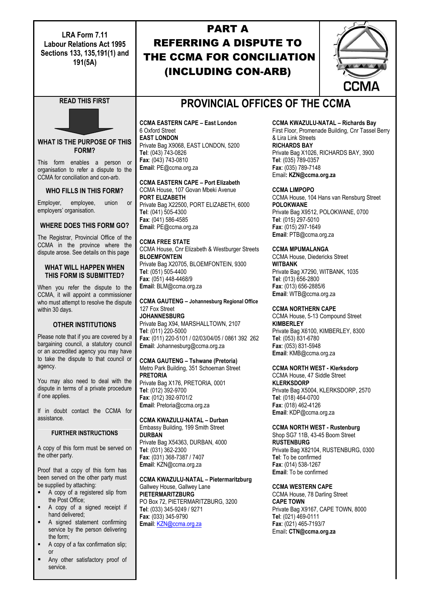**LRA Form 7.11 Labour Relations Act 1995 Sections 133, 135,191(1) and 191(5A)**

# PART A REFERRING A DISPUTE TO THE CCMA FOR CONCILIATION (INCLUDING CON-ARB)

| CCMA |
|------|

# **READ THIS FIRST**



**WHAT IS THE PURPOSE OF THIS FORM?**

This form enables a person or organisation to refer a dispute to the CCMA for conciliation and con-arb.

### **WHO FILLS IN THIS FORM?**

Employer, employee, union or employers' organisation.

### **WHERE DOES THIS FORM GO?**

The Registrar, Provincial Office of the CCMA in the province where the dispute arose. See details on this page

#### **WHAT WILL HAPPEN WHEN THIS FORM IS SUBMITTED?**

When you refer the dispute to the CCMA, it will appoint a commissioner who must attempt to resolve the dispute within 30 days.

# **OTHER INSTITUTIONS**

Please note that if you are covered by a bargaining council, a statutory council or an accredited agency you may have to take the dispute to that council or agency.

You may also need to deal with the dispute in terms of a private procedure if one applies.

If in doubt contact the CCMA for assistance.

### **FURTHER INSTRUCTIONS**

A copy of this form must be served on the other party.

Proof that a copy of this form has been served on the other party must be supplied by attaching:

- A copy of a registered slip from the Post Office;
- A copy of a signed receipt if hand delivered;
- A signed statement confirming service by the person delivering the form;
- A copy of a fax confirmation slip; or
- Any other satisfactory proof of service.

# **PROVINCIAL OFFICES OF THE CCMA**

**CCMA EASTERN CAPE – East London** 6 Oxford Street **EAST LONDON** Private Bag X9068, EAST LONDON, 5200 **Tel**: (043) 743-0826 **Fax**: (043) 743-0810 **Email**: PE@ccma.org.za

**CCMA EASTERN CAPE – Port Elizabeth**

CCMA House, 107 Govan Mbeki Avenue **PORT ELIZABETH** Private Bag X22500, PORT ELIZABETH, 6000 **Tel**: (041) 505-4300 **Fax**: (041) 586-4585 **Email**: PE@ccma.org.za

**CCMA FREE STATE** CCMA House, Cnr Elizabeth & Westburger Streets **BLOEMFONTEIN** Private Bag X20705, BLOEMFONTEIN, 9300 **Tel**: (051) 505-4400 **Fax**: (051) 448-4468/9 **Email**: BLM@ccma.org.za

**CCMA GAUTENG – Johannesburg Regional Office** 127 Fox Street **JOHANNESBURG** Private Bag X94, MARSHALLTOWN, 2107 **Tel**: (011) 220-5000 **Fax**: (011) 220-5101 / 02/03/04/05 / 0861 392 262 **Email**: Johannesburg@ccma.org.za

**CCMA GAUTENG – Tshwane (Pretoria)** Metro Park Building, 351 Schoeman Street **PRETORIA** Private Bag X176, PRETORIA, 0001

**Tel**: (012) 392-9700 **Fax**: (012) 392-9701/2 **Email**: Pretoria@ccma.org.za

**CCMA KWAZULU-NATAL – Durban** Embassy Building, 199 Smith Street **DURBAN** Private Bag X54363, DURBAN, 4000 **Tel**: (031) 362-2300 **Fax**: (031) 368-7387 / 7407 **Email**: KZN@ccma.org.za

**CCMA KWAZULU-NATAL – Pietermaritzburg** Gallwey House, Gallwey Lane **PIETERMARITZBURG** PO Box 72, PIETERMARITZBURG, 3200

**Tel**: (033) 345-9249 / 9271 **Fax**: (033) 345-9790 **Email**: [KZN@ccma.org.za](mailto:KZN@ccma.org.za)

## **CCMA KWAZULU-NATAL – Richards Bay**

First Floor, Promenade Building, Cnr Tassel Berry & Lira Link Streets **RICHARDS BAY** Private Bag X1026, RICHARDS BAY, 3900 **Tel**: (035) 789-0357 **Fax**: (035) 789-7148 Email**: KZN@ccma.org.za**

**CCMA LIMPOPO**

CCMA House, 104 Hans van Rensburg Street **POLOKWANE** Private Bag X9512, POLOKWANE, 0700 **Tel**: (015) 297-5010 **Fax**: (015) 297-1649 **Email**: PTB@ccma.org.za

#### **CCMA MPUMALANGA**

CCMA House, Diedericks Street **WITBANK** Private Bag X7290, WITBANK, 1035 **Tel**: (013) 656-2800 **Fax**: (013) 656-2885/6 **Email**: WTB@ccma.org.za

### **CCMA NORTHERN CAPE**

CCMA House, 5-13 Compound Street **KIMBERLEY** Private Bag X6100, KIMBERLEY, 8300 **Tel**: (053) 831-6780 **Fax**: (053) 831-5948 **Email**: KMB@ccma.org.za

# **CCMA NORTH WEST - Klerksdorp**

CCMA House, 47 Siddle Street **KLERKSDORP** Private Bag X5004, KLERKSDORP, 2570 **Tel**: (018) 464-0700 **Fax**: (018) 462-4126 **Email**: KDP@ccma.org.za

## **CCMA NORTH WEST - Rustenburg**

Shop SG7 11B, 43-45 Boom Street **RUSTENBURG** Private Bag X82104, RUSTENBURG, 0300 **Tel**: To be confirmed **Fax**: (014) 538-1267 **Email**: To be confirmed

### **CCMA WESTERN CAPE**

CCMA House, 78 Darling Street **CAPE TOWN** Private Bag X9167, CAPE TOWN, 8000 **Tel**: (021) 469-0111 **Fax**: (021) 465-7193/7 Email**: CTN@ccma.org.za**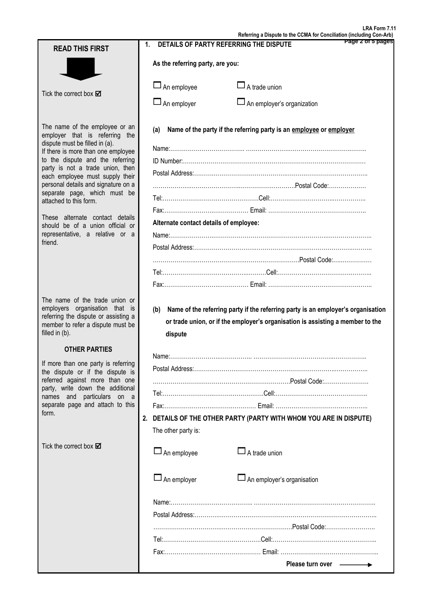**Referring a Dispute to the CCMA for Conciliation (including Con-Arb) Page 2 of 5 pages** Tick the correct box M The name of the employee or an employer that is referring the dispute must be filled in (a). If there is more than one employee to the dispute and the referring party is not a trade union, then each employee must supply their personal details and signature on a separate page, which must be attached to this form. These alternate contact details should be of a union official or representative, a relative or a friend. The name of the trade union or employers organisation that is referring the dispute or assisting a member to refer a dispute must be filled in (b). **OTHER PARTIES** If more than one party is referring the dispute or if the dispute is referred against more than one party, write down the additional names and particulars on a separate page and attach to this form. Tick the correct box  $\boxtimes$ **1. DETAILS OF PARTY REFERRING THE DISPUTE As the referring party, are you:**  $\Box$  An employee  $\Box$  A trade union  $\square$  An employer  $\square$  An employer's organization **(a) Name of the party if the referring party is an employee or employer** Name:……………………………….. ………………….…………………………..…….. ID Number:………………………………………………………………………………… Postal Address:……….……………………………….……….………………………….. ……………….……………………..……………………….Postal Code:………………. Tel:………………………………………….Cell:…………………………..…………….. Fax:…………………….……………… Email: ………………………………………….. **Alternate contact details of employee:** Name:………………….………………………………………………….………………….. Postal Address:………………………….………………………………………….……….. ………………….…………………….……………………….Postal Code:…..…………… Tel:…………………………………….……….Cell:……………………………….……….. Fax:……………………….…………… Email: …………………………………………….. **(b) Name of the referring party if the referring party is an employer's organisation or trade union, or if the employer's organisation is assisting a member to the dispute** Name:…………………….…………….. …………………………………..…………….. Postal Address:………………….…………………………………………..…………….. …………………………………………………………….Postal Code:……….…………. Tel:……………………..……….…………….Cell:……………………………………….. Fax:…………………….……….………… Email: ……………………………………….. **2. DETAILS OF THE OTHER PARTY (PARTY WITH WHOM YOU ARE IN DISPUTE)** The other party is:  $\Box$  An employee  $\Box$  A trade union  $\Box$  An employer  $\Box$  An employer's organisation Name:……………….………………….. …………………………………………………….. Postal Address:………….…………………………………………………………………….. …………………………….……………………………….Postal Code:……………………. Tel:…………….…………………………….Cell:…………………………………………….. Fax:……………….………………………… Email: …………………………………………..  **Please turn over READ THIS FIRST**

**LRA Form 7.11**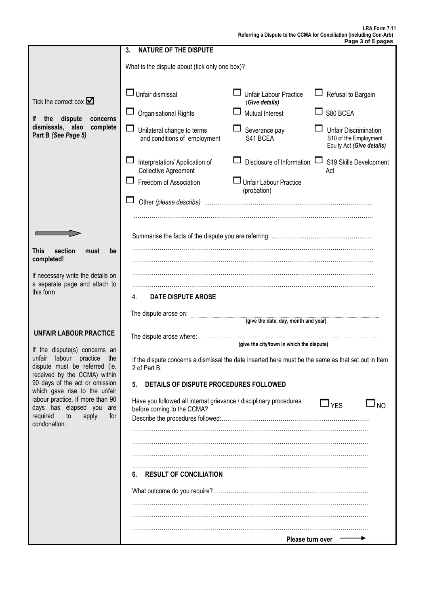|                                                                                                                                       | <b>NATURE OF THE DISPUTE</b><br>3.                                                                                  |                                          |                                                                             |  |  |  |  |  |
|---------------------------------------------------------------------------------------------------------------------------------------|---------------------------------------------------------------------------------------------------------------------|------------------------------------------|-----------------------------------------------------------------------------|--|--|--|--|--|
|                                                                                                                                       | What is the dispute about (tick only one box)?                                                                      |                                          |                                                                             |  |  |  |  |  |
| Tick the correct box $\blacksquare$<br>the<br>dispute<br>lf.<br>concerns<br>dismissals, also<br>complete<br>Part B (See Page 5)       | $\Box$ Unfair dismissal                                                                                             | Unfair Labour Practice<br>(Give details) | Refusal to Bargain                                                          |  |  |  |  |  |
|                                                                                                                                       | Organisational Rights                                                                                               | Mutual Interest                          | S80 BCEA                                                                    |  |  |  |  |  |
|                                                                                                                                       | LI<br>Unilateral change to terms<br>and conditions of employment                                                    | Severance pay<br>S41 BCEA                | Unfair Discrimination<br>S10 of the Employment<br>Equity Act (Give details) |  |  |  |  |  |
|                                                                                                                                       | Interpretation/ Application of<br><b>Collective Agreement</b>                                                       | Disclosure of Information                | S19 Skills Development<br>ىسا<br>Act                                        |  |  |  |  |  |
|                                                                                                                                       | Freedom of Association                                                                                              | J Unfair Labour Practice<br>(probation)  |                                                                             |  |  |  |  |  |
|                                                                                                                                       | Other (please describe)                                                                                             |                                          |                                                                             |  |  |  |  |  |
|                                                                                                                                       |                                                                                                                     |                                          |                                                                             |  |  |  |  |  |
|                                                                                                                                       |                                                                                                                     |                                          |                                                                             |  |  |  |  |  |
| section<br>This<br>must<br>be                                                                                                         |                                                                                                                     |                                          |                                                                             |  |  |  |  |  |
| completed!                                                                                                                            |                                                                                                                     |                                          |                                                                             |  |  |  |  |  |
| If necessary write the details on<br>a separate page and attach to                                                                    |                                                                                                                     |                                          |                                                                             |  |  |  |  |  |
| this form                                                                                                                             | <b>DATE DISPUTE AROSE</b><br>4.                                                                                     |                                          |                                                                             |  |  |  |  |  |
|                                                                                                                                       | The dispute arose on:                                                                                               |                                          |                                                                             |  |  |  |  |  |
| <b>UNFAIR LABOUR PRACTICE</b>                                                                                                         | (give the date, day, month and year)                                                                                |                                          |                                                                             |  |  |  |  |  |
|                                                                                                                                       | The dispute arose where:<br>(give the city/town in which the dispute)                                               |                                          |                                                                             |  |  |  |  |  |
| If the dispute(s) concerns an<br>labour<br>practice<br>unfair<br>the<br>dispute must be referred (ie.<br>received by the CCMA) within | If the dispute concerns a dismissal the date inserted here must be the same as that set out in Item<br>2 of Part B. |                                          |                                                                             |  |  |  |  |  |
| 90 days of the act or omission<br>which gave rise to the unfair                                                                       | 5.<br>DETAILS OF DISPUTE PROCEDURES FOLLOWED                                                                        |                                          |                                                                             |  |  |  |  |  |
| labour practice. If more than 90<br>days has elapsed you are                                                                          | Have you followed all internal grievance / disciplinary procedures<br>before coming to the CCMA?                    |                                          | $\sqcup$ $_{\mathsf{YES}}$<br>$\sqcup$ NO                                   |  |  |  |  |  |
| required<br>for<br>to<br>apply<br>condonation.                                                                                        |                                                                                                                     |                                          |                                                                             |  |  |  |  |  |
|                                                                                                                                       |                                                                                                                     |                                          |                                                                             |  |  |  |  |  |
|                                                                                                                                       |                                                                                                                     |                                          |                                                                             |  |  |  |  |  |
|                                                                                                                                       | <b>RESULT OF CONCILIATION</b><br>ნ.                                                                                 |                                          |                                                                             |  |  |  |  |  |
|                                                                                                                                       |                                                                                                                     |                                          |                                                                             |  |  |  |  |  |
|                                                                                                                                       |                                                                                                                     |                                          |                                                                             |  |  |  |  |  |
|                                                                                                                                       |                                                                                                                     |                                          |                                                                             |  |  |  |  |  |
|                                                                                                                                       | Please turn over                                                                                                    |                                          |                                                                             |  |  |  |  |  |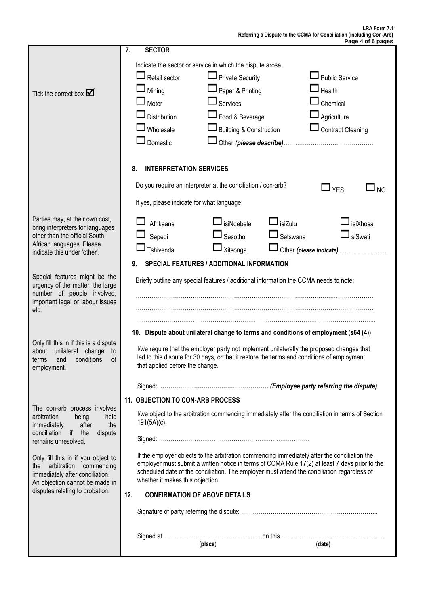|                                                                                             | 7.<br><b>SECTOR</b>                                                                                                             |  |  |  |  |  |  |  |
|---------------------------------------------------------------------------------------------|---------------------------------------------------------------------------------------------------------------------------------|--|--|--|--|--|--|--|
|                                                                                             | Indicate the sector or service in which the dispute arose.                                                                      |  |  |  |  |  |  |  |
|                                                                                             | $\Box$ Private Security<br>$\Box$ Retail sector<br><b>Public Service</b>                                                        |  |  |  |  |  |  |  |
|                                                                                             | Paper & Printing<br>Mining<br>Health                                                                                            |  |  |  |  |  |  |  |
| Tick the correct box $\blacksquare$                                                         | $\square$ Services<br>$\sqcup$ Motor<br>Chemical                                                                                |  |  |  |  |  |  |  |
|                                                                                             | Food & Beverage<br>Agriculture<br>Distribution                                                                                  |  |  |  |  |  |  |  |
|                                                                                             | <b>Building &amp; Construction</b><br>Contract Cleaning<br>Wholesale                                                            |  |  |  |  |  |  |  |
|                                                                                             |                                                                                                                                 |  |  |  |  |  |  |  |
|                                                                                             | Domestic                                                                                                                        |  |  |  |  |  |  |  |
|                                                                                             | 8.<br><b>INTERPRETATION SERVICES</b>                                                                                            |  |  |  |  |  |  |  |
|                                                                                             | Do you require an interpreter at the conciliation / con-arb?<br>$\Box$ YES<br>J NO                                              |  |  |  |  |  |  |  |
|                                                                                             | If yes, please indicate for what language:                                                                                      |  |  |  |  |  |  |  |
| Parties may, at their own cost,                                                             | $\mathsf{\mathsf{J}}$ isiZulu<br>J <sub>isiXhosa</sub><br>isiNdebele<br>Afrikaans                                               |  |  |  |  |  |  |  |
| bring interpreters for languages<br>other than the official South                           | siSwati<br>Setswana<br>Sepedi<br>Sesotho                                                                                        |  |  |  |  |  |  |  |
| African languages. Please                                                                   | Tshivenda<br>Xitsonga<br>Other (please indicate)                                                                                |  |  |  |  |  |  |  |
| indicate this under 'other'.                                                                | <b>SPECIAL FEATURES / ADDITIONAL INFORMATION</b><br>9.                                                                          |  |  |  |  |  |  |  |
| Special features might be the                                                               |                                                                                                                                 |  |  |  |  |  |  |  |
| urgency of the matter, the large                                                            | Briefly outline any special features / additional information the CCMA needs to note:                                           |  |  |  |  |  |  |  |
| number of people involved,<br>important legal or labour issues                              |                                                                                                                                 |  |  |  |  |  |  |  |
| etc.                                                                                        |                                                                                                                                 |  |  |  |  |  |  |  |
|                                                                                             |                                                                                                                                 |  |  |  |  |  |  |  |
|                                                                                             | 10. Dispute about unilateral change to terms and conditions of employment (s64 (4))                                             |  |  |  |  |  |  |  |
| Only fill this in if this is a dispute<br>about<br>unilateral change<br>to                  | I/we require that the employer party not implement unilaterally the proposed changes that                                       |  |  |  |  |  |  |  |
| conditions<br>of<br>and<br>terms                                                            | led to this dispute for 30 days, or that it restore the terms and conditions of employment<br>that applied before the change.   |  |  |  |  |  |  |  |
| employment.                                                                                 |                                                                                                                                 |  |  |  |  |  |  |  |
|                                                                                             |                                                                                                                                 |  |  |  |  |  |  |  |
|                                                                                             | 11. OBJECTION TO CON-ARB PROCESS                                                                                                |  |  |  |  |  |  |  |
| The con-arb process involves<br>arbitration<br>being<br>held<br>immediately<br>after<br>the | I/we object to the arbitration commencing immediately after the conciliation in terms of Section<br>$191(5A)(c)$ .              |  |  |  |  |  |  |  |
| conciliation if the<br>dispute<br>remains unresolved.                                       |                                                                                                                                 |  |  |  |  |  |  |  |
| Only fill this in if you object to                                                          | If the employer objects to the arbitration commencing immediately after the conciliation the                                    |  |  |  |  |  |  |  |
| the arbitration commencing                                                                  | employer must submit a written notice in terms of CCMA Rule 17(2) at least 7 days prior to the                                  |  |  |  |  |  |  |  |
| immediately after conciliation.<br>An objection cannot be made in                           | scheduled date of the conciliation. The employer must attend the conciliation regardless of<br>whether it makes this objection. |  |  |  |  |  |  |  |
| disputes relating to probation.                                                             | 12.<br><b>CONFIRMATION OF ABOVE DETAILS</b>                                                                                     |  |  |  |  |  |  |  |
|                                                                                             |                                                                                                                                 |  |  |  |  |  |  |  |
|                                                                                             |                                                                                                                                 |  |  |  |  |  |  |  |
|                                                                                             | (place)<br>(date)                                                                                                               |  |  |  |  |  |  |  |
|                                                                                             |                                                                                                                                 |  |  |  |  |  |  |  |